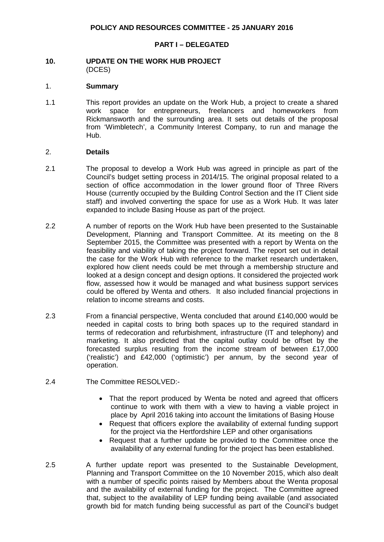#### **PART I – DELEGATED**

#### **10. UPDATE ON THE WORK HUB PROJECT** (DCES)

#### 1. **Summary**

1.1 This report provides an update on the Work Hub, a project to create a shared work space for entrepreneurs, freelancers and homeworkers from Rickmansworth and the surrounding area. It sets out details of the proposal from 'Wimbletech', a Community Interest Company, to run and manage the Hub.

#### 2. **Details**

- 2.1 The proposal to develop a Work Hub was agreed in principle as part of the Council's budget setting process in 2014/15. The original proposal related to a section of office accommodation in the lower ground floor of Three Rivers House (currently occupied by the Building Control Section and the IT Client side staff) and involved converting the space for use as a Work Hub. It was later expanded to include Basing House as part of the project.
- 2.2 A number of reports on the Work Hub have been presented to the Sustainable Development, Planning and Transport Committee. At its meeting on the 8 September 2015, the Committee was presented with a report by Wenta on the feasibility and viability of taking the project forward. The report set out in detail the case for the Work Hub with reference to the market research undertaken, explored how client needs could be met through a membership structure and looked at a design concept and design options. It considered the projected work flow, assessed how it would be managed and what business support services could be offered by Wenta and others. It also included financial projections in relation to income streams and costs.
- 2.3 From a financial perspective, Wenta concluded that around £140,000 would be needed in capital costs to bring both spaces up to the required standard in terms of redecoration and refurbishment, infrastructure (IT and telephony) and marketing. It also predicted that the capital outlay could be offset by the forecasted surplus resulting from the income stream of between £17,000 ('realistic') and £42,000 ('optimistic') per annum, by the second year of operation.
- 2.4 The Committee RESOLVED:-
	- That the report produced by Wenta be noted and agreed that officers continue to work with them with a view to having a viable project in place by April 2016 taking into account the limitations of Basing House
	- Request that officers explore the availability of external funding support for the project via the Hertfordshire LEP and other organisations
	- Request that a further update be provided to the Committee once the availability of any external funding for the project has been established.
- 2.5 A further update report was presented to the Sustainable Development, Planning and Transport Committee on the 10 November 2015, which also dealt with a number of specific points raised by Members about the Wenta proposal and the availability of external funding for the project. The Committee agreed that, subject to the availability of LEP funding being available (and associated growth bid for match funding being successful as part of the Council's budget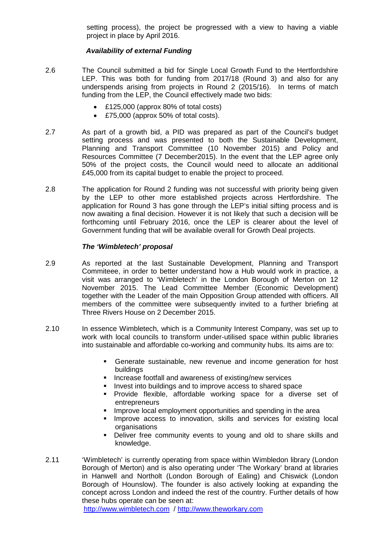setting process), the project be progressed with a view to having a viable project in place by April 2016.

# *Availability of external Funding*

- 2.6 The Council submitted a bid for Single Local Growth Fund to the Hertfordshire LEP. This was both for funding from 2017/18 (Round 3) and also for any underspends arising from projects in Round 2 (2015/16). In terms of match funding from the LEP, the Council effectively made two bids:
	- £125,000 (approx 80% of total costs)
	- £75,000 (approx 50% of total costs).
- 2.7 As part of a growth bid, a PID was prepared as part of the Council's budget setting process and was presented to both the Sustainable Development, Planning and Transport Committee (10 November 2015) and Policy and Resources Committee (7 December2015). In the event that the LEP agree only 50% of the project costs, the Council would need to allocate an additional £45,000 from its capital budget to enable the project to proceed.
- 2.8 The application for Round 2 funding was not successful with priority being given by the LEP to other more established projects across Hertfordshire. The application for Round 3 has gone through the LEP's initial sifting process and is now awaiting a final decision. However it is not likely that such a decision will be forthcoming until February 2016, once the LEP is clearer about the level of Government funding that will be available overall for Growth Deal projects.

## *The 'Wimbletech' proposal*

- 2.9 As reported at the last Sustainable Development, Planning and Transport Commiteee, in order to better understand how a Hub would work in practice, a visit was arranged to 'Wimbletech' in the London Borough of Merton on 12 November 2015. The Lead Committee Member (Economic Development) together with the Leader of the main Opposition Group attended with officers. All members of the committee were subsequently invited to a further briefing at Three Rivers House on 2 December 2015.
- 2.10 In essence Wimbletech, which is a Community Interest Company, was set up to work with local councils to transform under-utilised space within public libraries into sustainable and affordable co-working and community hubs. Its aims are to:
	- Generate sustainable, new revenue and income generation for host buildings
	- **Increase footfall and awareness of existing/new services**
	- **Invest into buildings and to improve access to shared space**
	- Provide flexible, affordable working space for a diverse set of entrepreneurs
	- **IMPROVE LOCAL EMPLOYMENT OPPORTUNITIES AND SPENDING IN THE ATEAL FIGURE 1**
	- **Improve access to innovation, skills and services for existing local** organisations
	- Deliver free community events to young and old to share skills and knowledge.
- 2.11 'Wimbletech' is currently operating from space within Wimbledon library (London Borough of Merton) and is also operating under 'The Workary' brand at libraries in Hanwell and Northolt (London Borough of Ealing) and Chiswick (London Borough of Hounslow). The founder is also actively looking at expanding the concept across London and indeed the rest of the country. Further details of how these hubs operate can be seen at: [http://www.wimbletech.com](http://www.wimbletech.com/) / [http://www.theworkary.com](http://www.theworkary.com/)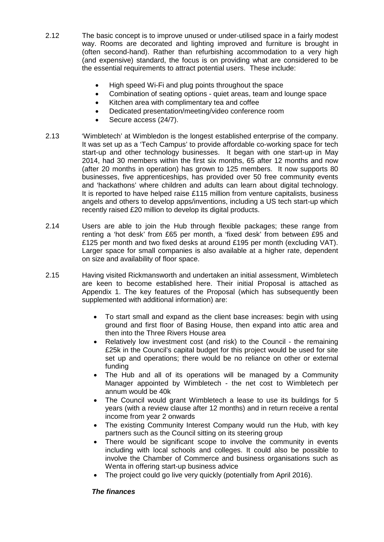- 2.12 The basic concept is to improve unused or under-utilised space in a fairly modest way. Rooms are decorated and lighting improved and furniture is brought in (often second-hand). Rather than refurbishing accommodation to a very high (and expensive) standard, the focus is on providing what are considered to be the essential requirements to attract potential users. These include:
	- High speed Wi-Fi and plug points throughout the space
	- Combination of seating options quiet areas, team and lounge space
	- Kitchen area with complimentary tea and coffee
	- Dedicated presentation/meeting/video conference room
	- Secure access (24/7).
- 2.13 'Wimbletech' at Wimbledon is the longest established enterprise of the company. It was set up as a 'Tech Campus' to provide affordable co-working space for tech start-up and other technology businesses. It began with one start-up in May 2014, had 30 members within the first six months, 65 after 12 months and now (after 20 months in operation) has grown to 125 members. It now supports 80 businesses, five apprenticeships, has provided over 50 free community events and 'hackathons' where children and adults can learn about digital technology. It is reported to have helped raise £115 million from venture capitalists, business angels and others to develop apps/inventions, including a US tech start-up which recently raised £20 million to develop its digital products.
- 2.14 Users are able to join the Hub through flexible packages; these range from renting a 'hot desk' from £65 per month, a 'fixed desk' from between £95 and £125 per month and two fixed desks at around £195 per month (excluding VAT). Larger space for small companies is also available at a higher rate, dependent on size and availability of floor space.
- 2.15 Having visited Rickmansworth and undertaken an initial assessment, Wimbletech are keen to become established here. Their initial Proposal is attached as Appendix 1. The key features of the Proposal (which has subsequently been supplemented with additional information) are:
	- To start small and expand as the client base increases: begin with using ground and first floor of Basing House, then expand into attic area and then into the Three Rivers House area
	- Relatively low investment cost (and risk) to the Council the remaining £25k in the Council's capital budget for this project would be used for site set up and operations; there would be no reliance on other or external funding
	- The Hub and all of its operations will be managed by a Community Manager appointed by Wimbletech - the net cost to Wimbletech per annum would be 40k
	- The Council would grant Wimbletech a lease to use its buildings for 5 years (with a review clause after 12 months) and in return receive a rental income from year 2 onwards
	- The existing Community Interest Company would run the Hub, with key partners such as the Council sitting on its steering group
	- There would be significant scope to involve the community in events including with local schools and colleges. It could also be possible to involve the Chamber of Commerce and business organisations such as Wenta in offering start-up business advice
	- The project could go live very quickly (potentially from April 2016).

## *The finances*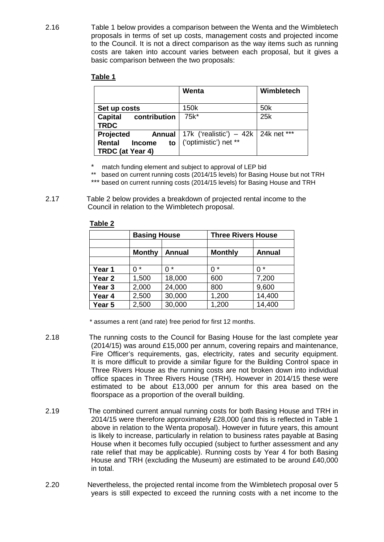2.16 Table 1 below provides a comparison between the Wenta and the Wimbletech proposals in terms of set up costs, management costs and projected income to the Council. It is not a direct comparison as the way items such as running costs are taken into account varies between each proposal, but it gives a basic comparison between the two proposals:

## **Table 1**

|                                                                 | Wenta                                                                          | Wimbletech      |
|-----------------------------------------------------------------|--------------------------------------------------------------------------------|-----------------|
| Set up costs                                                    | 150k                                                                           | 50 <sub>k</sub> |
| Capital<br>contribution<br><b>TRDC</b>                          | 75k*                                                                           | 25k             |
| Projected<br><b>Rental</b><br><b>Income</b><br>TRDC (at Year 4) | Annual   17k ('realistic') $-$ 42k   24k net ***<br>to   ('optimistic') net ** |                 |

- match funding element and subject to approval of LEP bid
- based on current running costs (2014/15 levels) for Basing House but not TRH
- \*\*\* based on current running costs (2014/15 levels) for Basing House and TRH

2.17 Table 2 below provides a breakdown of projected rental income to the Council in relation to the Wimbletech proposal.

|                   | <b>Basing House</b> |               | <b>Three Rivers House</b> |               |  |
|-------------------|---------------------|---------------|---------------------------|---------------|--|
|                   |                     |               |                           |               |  |
|                   | <b>Monthy</b>       | <b>Annual</b> | <b>Monthly</b>            | <b>Annual</b> |  |
|                   |                     |               |                           |               |  |
| Year 1            | $\star$             | *<br>ი        | 0 *                       | 0 *           |  |
| Year <sub>2</sub> | 1,500               | 18,000        | 600                       | 7,200         |  |
| Year <sub>3</sub> | 2,000               | 24,000        | 800                       | 9,600         |  |
| Year 4            | 2,500               | 30,000        | 1,200                     | 14,400        |  |
| Year 5            | 2,500               | 30,000        | 1,200                     | 14,400        |  |

#### **Table 2**

\* assumes a rent (and rate) free period for first 12 months.

- 2.18 The running costs to the Council for Basing House for the last complete year (2014/15) was around £15,000 per annum, covering repairs and maintenance, Fire Officer's requirements, gas, electricity, rates and security equipment. It is more difficult to provide a similar figure for the Building Control space in Three Rivers House as the running costs are not broken down into individual office spaces in Three Rivers House (TRH). However in 2014/15 these were estimated to be about £13,000 per annum for this area based on the floorspace as a proportion of the overall building.
- 2.19 The combined current annual running costs for both Basing House and TRH in 2014/15 were therefore approximately £28,000 (and this is reflected in Table 1 above in relation to the Wenta proposal). However in future years, this amount is likely to increase, particularly in relation to business rates payable at Basing House when it becomes fully occupied (subject to further assessment and any rate relief that may be applicable). Running costs by Year 4 for both Basing House and TRH (excluding the Museum) are estimated to be around £40,000 in total.
- 2.20 Nevertheless, the projected rental income from the Wimbletech proposal over 5 years is still expected to exceed the running costs with a net income to the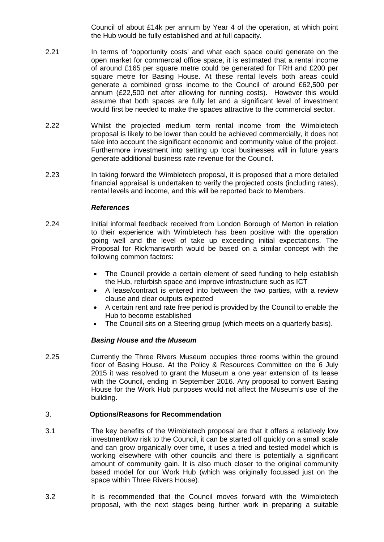Council of about £14k per annum by Year 4 of the operation, at which point the Hub would be fully established and at full capacity.

- 2.21 In terms of 'opportunity costs' and what each space could generate on the open market for commercial office space, it is estimated that a rental income of around £165 per square metre could be generated for TRH and £200 per square metre for Basing House. At these rental levels both areas could generate a combined gross income to the Council of around £62,500 per annum (£22,500 net after allowing for running costs). However this would assume that both spaces are fully let and a significant level of investment would first be needed to make the spaces attractive to the commercial sector.
- 2.22 Whilst the projected medium term rental income from the Wimbletech proposal is likely to be lower than could be achieved commercially, it does not take into account the significant economic and community value of the project. Furthermore investment into setting up local businesses will in future years generate additional business rate revenue for the Council.
- 2.23 In taking forward the Wimbletech proposal, it is proposed that a more detailed financial appraisal is undertaken to verify the projected costs (including rates), rental levels and income, and this will be reported back to Members.

## *References*

- 2.24 Initial informal feedback received from London Borough of Merton in relation to their experience with Wimbletech has been positive with the operation going well and the level of take up exceeding initial expectations. The Proposal for Rickmansworth would be based on a similar concept with the following common factors:
	- The Council provide a certain element of seed funding to help establish the Hub, refurbish space and improve infrastructure such as ICT
	- A lease/contract is entered into between the two parties, with a review clause and clear outputs expected
	- A certain rent and rate free period is provided by the Council to enable the Hub to become established
	- The Council sits on a Steering group (which meets on a quarterly basis).

## *Basing House and the Museum*

2.25 Currently the Three Rivers Museum occupies three rooms within the ground floor of Basing House. At the Policy & Resources Committee on the 6 July 2015 it was resolved to grant the Museum a one year extension of its lease with the Council, ending in September 2016. Any proposal to convert Basing House for the Work Hub purposes would not affect the Museum's use of the building.

## 3. **Options/Reasons for Recommendation**

- 3.1 The key benefits of the Wimbletech proposal are that it offers a relatively low investment/low risk to the Council, it can be started off quickly on a small scale and can grow organically over time, it uses a tried and tested model which is working elsewhere with other councils and there is potentially a significant amount of community gain. It is also much closer to the original community based model for our Work Hub (which was originally focussed just on the space within Three Rivers House).
- 3.2 It is recommended that the Council moves forward with the Wimbletech proposal, with the next stages being further work in preparing a suitable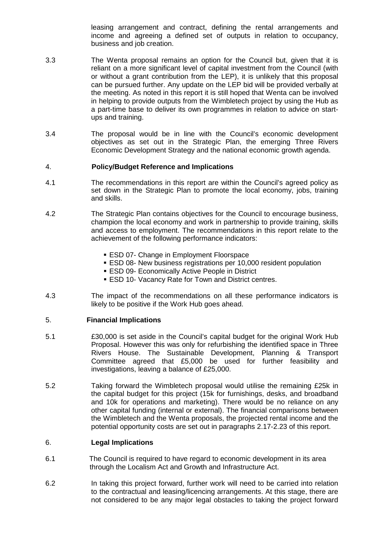leasing arrangement and contract, defining the rental arrangements and income and agreeing a defined set of outputs in relation to occupancy, business and job creation.

- 3.3 The Wenta proposal remains an option for the Council but, given that it is reliant on a more significant level of capital investment from the Council (with or without a grant contribution from the LEP), it is unlikely that this proposal can be pursued further. Any update on the LEP bid will be provided verbally at the meeting. As noted in this report it is still hoped that Wenta can be involved in helping to provide outputs from the Wimbletech project by using the Hub as a part-time base to deliver its own programmes in relation to advice on startups and training.
- 3.4 The proposal would be in line with the Council's economic development objectives as set out in the Strategic Plan, the emerging Three Rivers Economic Development Strategy and the national economic growth agenda.

## 4. **Policy/Budget Reference and Implications**

- 4.1 The recommendations in this report are within the Council's agreed policy as set down in the Strategic Plan to promote the local economy, jobs, training and skills.
- 4.2 The Strategic Plan contains objectives for the Council to encourage business, champion the local economy and work in partnership to provide training, skills and access to employment. The recommendations in this report relate to the achievement of the following performance indicators:
	- **ESD 07- Change in Employment Floorspace**
	- ESD 08- New business registrations per 10,000 resident population
	- **ESD 09- Economically Active People in District**
	- **ESD 10- Vacancy Rate for Town and District centres.**
- 4.3 The impact of the recommendations on all these performance indicators is likely to be positive if the Work Hub goes ahead.

#### 5. **Financial Implications**

- 5.1 £30,000 is set aside in the Council's capital budget for the original Work Hub Proposal. However this was only for refurbishing the identified space in Three Rivers House. The Sustainable Development, Planning & Transport Committee agreed that £5,000 be used for further feasibility and investigations, leaving a balance of £25,000.
- 5.2 Taking forward the Wimbletech proposal would utilise the remaining £25k in the capital budget for this project (15k for furnishings, desks, and broadband and 10k for operations and marketing). There would be no reliance on any other capital funding (internal or external). The financial comparisons between the Wimbletech and the Wenta proposals, the projected rental income and the potential opportunity costs are set out in paragraphs 2.17-2.23 of this report.

## 6. **Legal Implications**

- 6.1 The Council is required to have regard to economic development in its area through the Localism Act and Growth and Infrastructure Act.
- 6.2 In taking this project forward, further work will need to be carried into relation to the contractual and leasing/licencing arrangements. At this stage, there are not considered to be any major legal obstacles to taking the project forward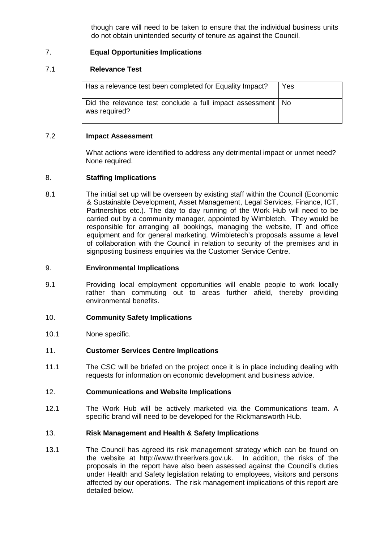though care will need to be taken to ensure that the individual business units do not obtain unintended security of tenure as against the Council.

# 7. **Equal Opportunities Implications**

# 7.1 **Relevance Test**

| Has a relevance test been completed for Equality Impact?                       | Yes |
|--------------------------------------------------------------------------------|-----|
| Did the relevance test conclude a full impact assessment   No<br>was required? |     |

## 7.2 **Impact Assessment**

What actions were identified to address any detrimental impact or unmet need? None required.

## 8. **Staffing Implications**

8.1 The initial set up will be overseen by existing staff within the Council (Economic & Sustainable Development, Asset Management, Legal Services, Finance, ICT, Partnerships etc.). The day to day running of the Work Hub will need to be carried out by a community manager, appointed by Wimbletch. They would be responsible for arranging all bookings, managing the website, IT and office equipment and for general marketing. Wimbletech's proposals assume a level of collaboration with the Council in relation to security of the premises and in signposting business enquiries via the Customer Service Centre.

## 9. **Environmental Implications**

9.1 Providing local employment opportunities will enable people to work locally rather than commuting out to areas further afield, thereby providing environmental benefits.

## 10. **Community Safety Implications**

10.1 None specific.

## 11. **Customer Services Centre Implications**

11.1 The CSC will be briefed on the project once it is in place including dealing with requests for information on economic development and business advice.

## 12. **Communications and Website Implications**

12.1 The Work Hub will be actively marketed via the Communications team. A specific brand will need to be developed for the Rickmansworth Hub.

#### 13. **Risk Management and Health & Safety Implications**

13.1 The Council has agreed its risk management strategy which can be found on the website at http://www.threerivers.gov.uk. In addition, the risks of the proposals in the report have also been assessed against the Council's duties under Health and Safety legislation relating to employees, visitors and persons affected by our operations. The risk management implications of this report are detailed below.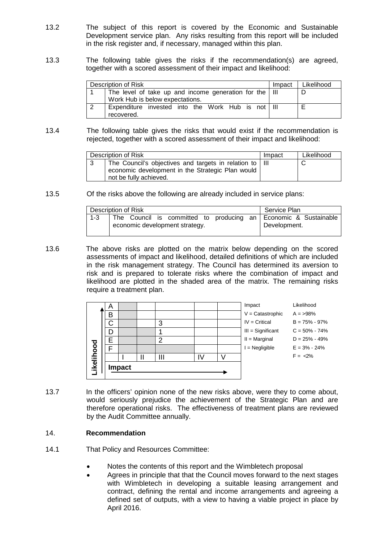- 13.2 The subject of this report is covered by the Economic and Sustainable Development service plan. Any risks resulting from this report will be included in the risk register and, if necessary, managed within this plan.
- 13.3 The following table gives the risks if the recommendation(s) are agreed, together with a scored assessment of their impact and likelihood:

| Description of Risk                                            | Impact | Likelihood |
|----------------------------------------------------------------|--------|------------|
| The level of take up and income generation for the $\vert$ III |        |            |
| Work Hub is below expectations.                                |        |            |
| Expenditure invested into the Work Hub is not   III            |        |            |
| recovered.                                                     |        |            |

13.4 The following table gives the risks that would exist if the recommendation is rejected, together with a scored assessment of their impact and likelihood:

| Description of Risk                                                                                                                     | Impact | Likelihood |
|-----------------------------------------------------------------------------------------------------------------------------------------|--------|------------|
| The Council's objectives and targets in relation to   III<br>economic development in the Strategic Plan would<br>not be fully achieved. |        |            |

13.5 Of the risks above the following are already included in service plans:

| Description of Risk |  |                                |  | Service Plan                                                                    |
|---------------------|--|--------------------------------|--|---------------------------------------------------------------------------------|
| $1 - 3$             |  | economic development strategy. |  | The Council is committed to producing an Economic & Sustainable<br>Development. |

13.6 The above risks are plotted on the matrix below depending on the scored assessments of impact and likelihood, detailed definitions of which are included in the risk management strategy. The Council has determined its aversion to risk and is prepared to tolerate risks where the combination of impact and likelihood are plotted in the shaded area of the matrix. The remaining risks require a treatment plan.

| Α |               |   |   | Impact              | Likelihood        |
|---|---------------|---|---|---------------------|-------------------|
| в |               |   |   | $V =$ Catastrophic  | $A = 98\%$        |
| С |               | З |   | $IV = Critical$     | $B = 75\% - 97\%$ |
|   |               |   |   | $III =$ Significant | $C = 50\% - 74\%$ |
|   |               | ◠ |   | $II = Marginal$     | $D = 25\% - 49\%$ |
|   |               |   |   | $=$ Negligible      | $E = 3\% - 24\%$  |
|   | ''            | Ш | V |                     | $F = 2\%$         |
|   |               |   |   |                     |                   |
|   | <b>Impact</b> |   |   |                     |                   |

13.7 In the officers' opinion none of the new risks above, were they to come about, would seriously prejudice the achievement of the Strategic Plan and are therefore operational risks. The effectiveness of treatment plans are reviewed by the Audit Committee annually.

## 14. **Recommendation**

- 14.1 That Policy and Resources Committee:
	- Notes the contents of this report and the Wimbletech proposal
	- Agrees in principle that that the Council moves forward to the next stages with Wimbletech in developing a suitable leasing arrangement and contract, defining the rental and income arrangements and agreeing a defined set of outputs, with a view to having a viable project in place by April 2016.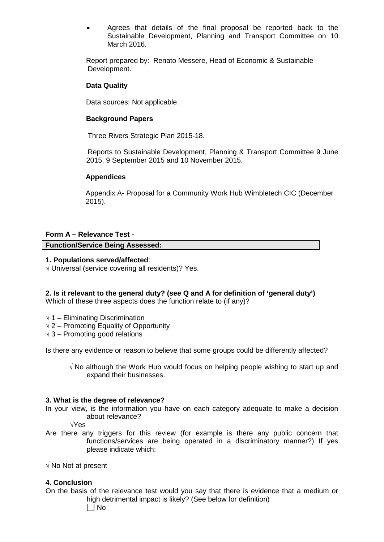• Agrees that details of the final proposal be reported back to the Sustainable Development, Planning and Transport Committee on 10 March 2016.

Report prepared by: Renato Messere, Head of Economic & Sustainable Development.

## **Data Quality**

Data sources: Not applicable.

## **Background Papers**

Three Rivers Strategic Plan 2015-18.

 Reports to Sustainable Development, Planning & Transport Committee 9 June 2015, 9 September 2015 and 10 November 2015.

## **Appendices**

 Appendix A- Proposal for a Community Work Hub Wimbletech CIC (December 2015).

## **Form A – Relevance Test -**

## **Function/Service Being Assessed:**

## **1. Populations served/affected**:

√ Universal (service covering all residents)? Yes.

## **2. Is it relevant to the general duty? (see Q and A for definition of 'general duty')**

Which of these three aspects does the function relate to (if any)?

- $\sqrt{1}$  Eliminating Discrimination
- $\sqrt{2}$  Promoting Equality of Opportunity
- $\sqrt{3}$  Promoting good relations

Is there any evidence or reason to believe that some groups could be differently affected?

√ No although the Work Hub would focus on helping people wishing to start up and expand their businesses.

#### **3. What is the degree of relevance?**

In your view, is the information you have on each category adequate to make a decision about relevance?

√Yes

Are there any triggers for this review (for example is there any public concern that functions/services are being operated in a discriminatory manner?) If yes please indicate which:

 $\sqrt{}$  No Not at present

#### **4. Conclusion**

On the basis of the relevance test would you say that there is evidence that a medium or high detrimental impact is likely? (See below for definition)

 $\Box$  No